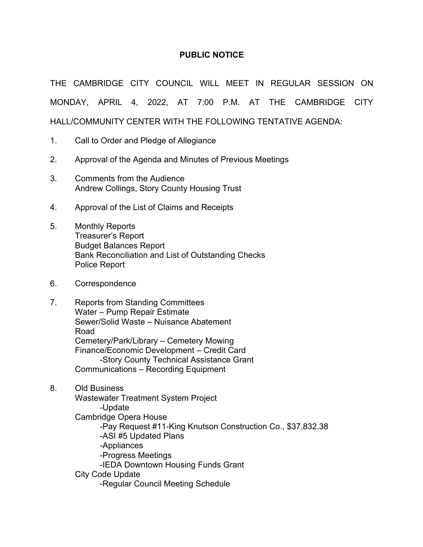### **PUBLIC NOTICE**

THE CAMBRIDGE CITY COUNCIL WILL MEET IN REGULAR SESSION ON MONDAY, APRIL 4, 2022, AT 7:00 P.M. AT THE CAMBRIDGE CITY HALL/COMMUNITY CENTER WITH THE FOLLOWING TENTATIVE AGENDA:

- 1. Call to Order and Pledge of Allegiance
- 2. Approval of the Agenda and Minutes of Previous Meetings
- 3. Comments from the Audience Andrew Collings, Story County Housing Trust
- 4. Approval of the List of Claims and Receipts
- 5. Monthly Reports Treasurer's Report Budget Balances Report Bank Reconciliation and List of Outstanding Checks Police Report
- 6. Correspondence
- 7. Reports from Standing Committees Water – Pump Repair Estimate Sewer/Solid Waste – Nuisance Abatement Road Cemetery/Park/Library – Cemetery Mowing Finance/Economic Development – Credit Card -Story County Technical Assistance Grant Communications – Recording Equipment
- 8. Old Business

Wastewater Treatment System Project -Update Cambridge Opera House -Pay Request #11-King Knutson Construction Co., \$37,832.38 -ASI #5 Updated Plans -Appliances -Progress Meetings -IEDA Downtown Housing Funds Grant City Code Update -Regular Council Meeting Schedule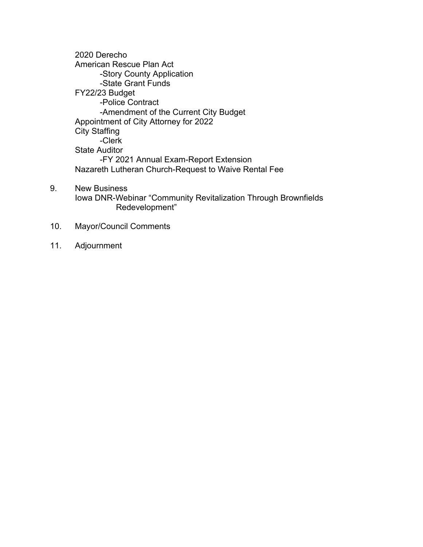2020 Derecho American Rescue Plan Act -Story County Application -State Grant Funds FY22/23 Budget -Police Contract -Amendment of the Current City Budget Appointment of City Attorney for 2022 City Staffing -Clerk State Auditor -FY 2021 Annual Exam-Report Extension Nazareth Lutheran Church-Request to Waive Rental Fee

- 9. New Business Iowa DNR-Webinar "Community Revitalization Through Brownfields Redevelopment"
- 10. Mayor/Council Comments
- 11. Adjournment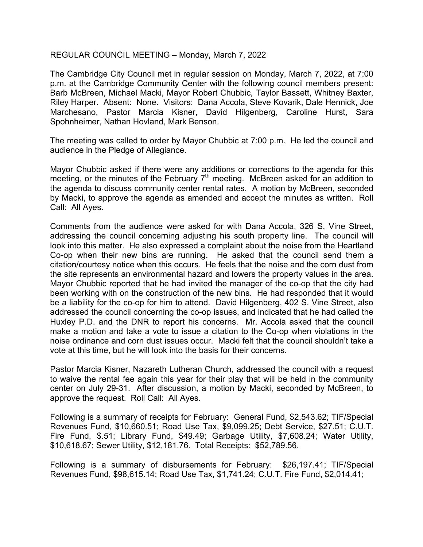#### REGULAR COUNCIL MEETING – Monday, March 7, 2022

The Cambridge City Council met in regular session on Monday, March 7, 2022, at 7:00 p.m. at the Cambridge Community Center with the following council members present: Barb McBreen, Michael Macki, Mayor Robert Chubbic, Taylor Bassett, Whitney Baxter, Riley Harper. Absent: None. Visitors: Dana Accola, Steve Kovarik, Dale Hennick, Joe Marchesano, Pastor Marcia Kisner, David Hilgenberg, Caroline Hurst, Sara Spohnheimer, Nathan Hovland, Mark Benson.

The meeting was called to order by Mayor Chubbic at 7:00 p.m. He led the council and audience in the Pledge of Allegiance.

Mayor Chubbic asked if there were any additions or corrections to the agenda for this meeting, or the minutes of the February  $7<sup>th</sup>$  meeting. McBreen asked for an addition to the agenda to discuss community center rental rates. A motion by McBreen, seconded by Macki, to approve the agenda as amended and accept the minutes as written. Roll Call: All Ayes.

Comments from the audience were asked for with Dana Accola, 326 S. Vine Street, addressing the council concerning adjusting his south property line. The council will look into this matter. He also expressed a complaint about the noise from the Heartland Co-op when their new bins are running. He asked that the council send them a citation/courtesy notice when this occurs. He feels that the noise and the corn dust from the site represents an environmental hazard and lowers the property values in the area. Mayor Chubbic reported that he had invited the manager of the co-op that the city had been working with on the construction of the new bins. He had responded that it would be a liability for the co-op for him to attend. David Hilgenberg, 402 S. Vine Street, also addressed the council concerning the co-op issues, and indicated that he had called the Huxley P.D. and the DNR to report his concerns. Mr. Accola asked that the council make a motion and take a vote to issue a citation to the Co-op when violations in the noise ordinance and corn dust issues occur. Macki felt that the council shouldn't take a vote at this time, but he will look into the basis for their concerns.

Pastor Marcia Kisner, Nazareth Lutheran Church, addressed the council with a request to waive the rental fee again this year for their play that will be held in the community center on July 29-31. After discussion, a motion by Macki, seconded by McBreen, to approve the request. Roll Call: All Ayes.

Following is a summary of receipts for February: General Fund, \$2,543.62; TIF/Special Revenues Fund, \$10,660.51; Road Use Tax, \$9,099.25; Debt Service, \$27.51; C.U.T. Fire Fund, \$.51; Library Fund, \$49.49; Garbage Utility, \$7,608.24; Water Utility, \$10,618.67; Sewer Utility, \$12,181.76. Total Receipts: \$52,789.56.

Following is a summary of disbursements for February: \$26,197.41; TIF/Special Revenues Fund, \$98,615.14; Road Use Tax, \$1,741.24; C.U.T. Fire Fund, \$2,014.41;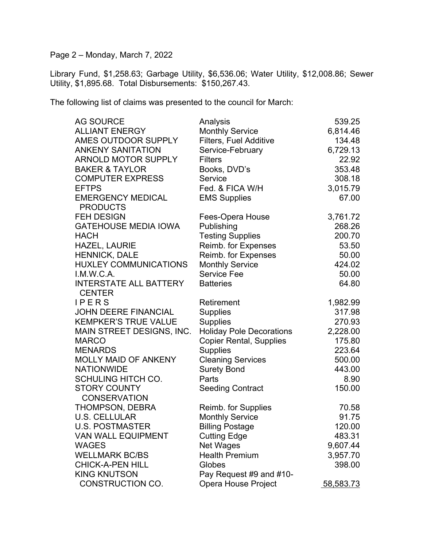Page 2 – Monday, March 7, 2022

Library Fund, \$1,258.63; Garbage Utility, \$6,536.06; Water Utility, \$12,008.86; Sewer Utility, \$1,895.68. Total Disbursements: \$150,267.43.

The following list of claims was presented to the council for March:

| <b>AG SOURCE</b>              | Analysis                        | 539.25    |
|-------------------------------|---------------------------------|-----------|
| <b>ALLIANT ENERGY</b>         | <b>Monthly Service</b>          | 6,814.46  |
| AMES OUTDOOR SUPPLY           | Filters, Fuel Additive          | 134.48    |
| <b>ANKENY SANITATION</b>      | Service-February                | 6,729.13  |
| <b>ARNOLD MOTOR SUPPLY</b>    | <b>Filters</b>                  | 22.92     |
| <b>BAKER &amp; TAYLOR</b>     | Books, DVD's                    | 353.48    |
| <b>COMPUTER EXPRESS</b>       | Service                         | 308.18    |
| <b>EFTPS</b>                  | Fed. & FICA W/H                 | 3,015.79  |
| <b>EMERGENCY MEDICAL</b>      | <b>EMS Supplies</b>             | 67.00     |
| <b>PRODUCTS</b>               |                                 |           |
| <b>FEH DESIGN</b>             | Fees-Opera House                | 3,761.72  |
| <b>GATEHOUSE MEDIA IOWA</b>   | Publishing                      | 268.26    |
| <b>HACH</b>                   | <b>Testing Supplies</b>         | 200.70    |
| <b>HAZEL, LAURIE</b>          | Reimb. for Expenses             | 53.50     |
| <b>HENNICK, DALE</b>          | Reimb. for Expenses             | 50.00     |
| <b>HUXLEY COMMUNICATIONS</b>  | <b>Monthly Service</b>          | 424.02    |
| I.M.W.C.A.                    | <b>Service Fee</b>              | 50.00     |
| <b>INTERSTATE ALL BATTERY</b> | <b>Batteries</b>                | 64.80     |
| <b>CENTER</b>                 |                                 |           |
| IPERS                         | Retirement                      | 1,982.99  |
| <b>JOHN DEERE FINANCIAL</b>   | <b>Supplies</b>                 | 317.98    |
| <b>KEMPKER'S TRUE VALUE</b>   | <b>Supplies</b>                 | 270.93    |
| MAIN STREET DESIGNS, INC.     | <b>Holiday Pole Decorations</b> | 2,228.00  |
| <b>MARCO</b>                  | <b>Copier Rental, Supplies</b>  | 175.80    |
| <b>MENARDS</b>                | <b>Supplies</b>                 | 223.64    |
| <b>MOLLY MAID OF ANKENY</b>   | <b>Cleaning Services</b>        | 500.00    |
| <b>NATIONWIDE</b>             | <b>Surety Bond</b>              | 443.00    |
| <b>SCHULING HITCH CO.</b>     | Parts                           | 8.90      |
| <b>STORY COUNTY</b>           | <b>Seeding Contract</b>         | 150.00    |
| <b>CONSERVATION</b>           |                                 |           |
| THOMPSON, DEBRA               | Reimb. for Supplies             | 70.58     |
| <b>U.S. CELLULAR</b>          | <b>Monthly Service</b>          | 91.75     |
| <b>U.S. POSTMASTER</b>        | <b>Billing Postage</b>          | 120.00    |
| <b>VAN WALL EQUIPMENT</b>     | <b>Cutting Edge</b>             | 483.31    |
| <b>WAGES</b>                  | <b>Net Wages</b>                | 9,607.44  |
| <b>WELLMARK BC/BS</b>         | <b>Health Premium</b>           | 3,957.70  |
| <b>CHICK-A-PEN HILL</b>       | Globes                          | 398.00    |
| <b>KING KNUTSON</b>           | Pay Request #9 and #10-         |           |
| CONSTRUCTION CO.              | <b>Opera House Project</b>      | 58,583.73 |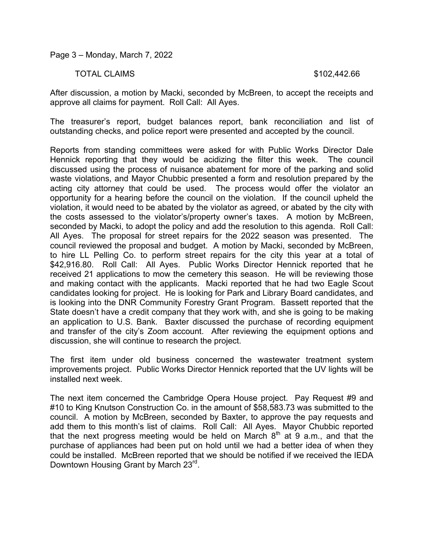Page 3 – Monday, March 7, 2022

#### TOTAL CLAIMS \$102,442.66

After discussion, a motion by Macki, seconded by McBreen, to accept the receipts and approve all claims for payment. Roll Call: All Ayes.

The treasurer's report, budget balances report, bank reconciliation and list of outstanding checks, and police report were presented and accepted by the council.

Reports from standing committees were asked for with Public Works Director Dale Hennick reporting that they would be acidizing the filter this week. The council discussed using the process of nuisance abatement for more of the parking and solid waste violations, and Mayor Chubbic presented a form and resolution prepared by the acting city attorney that could be used. The process would offer the violator an opportunity for a hearing before the council on the violation. If the council upheld the violation, it would need to be abated by the violator as agreed, or abated by the city with the costs assessed to the violator's/property owner's taxes. A motion by McBreen, seconded by Macki, to adopt the policy and add the resolution to this agenda. Roll Call: All Ayes. The proposal for street repairs for the 2022 season was presented. The council reviewed the proposal and budget. A motion by Macki, seconded by McBreen, to hire LL Pelling Co. to perform street repairs for the city this year at a total of \$42,916.80. Roll Call: All Ayes. Public Works Director Hennick reported that he received 21 applications to mow the cemetery this season. He will be reviewing those and making contact with the applicants. Macki reported that he had two Eagle Scout candidates looking for project. He is looking for Park and Library Board candidates, and is looking into the DNR Community Forestry Grant Program. Bassett reported that the State doesn't have a credit company that they work with, and she is going to be making an application to U.S. Bank. Baxter discussed the purchase of recording equipment and transfer of the city's Zoom account. After reviewing the equipment options and discussion, she will continue to research the project.

The first item under old business concerned the wastewater treatment system improvements project. Public Works Director Hennick reported that the UV lights will be installed next week.

The next item concerned the Cambridge Opera House project. Pay Request #9 and #10 to King Knutson Construction Co. in the amount of \$58,583.73 was submitted to the council. A motion by McBreen, seconded by Baxter, to approve the pay requests and add them to this month's list of claims. Roll Call: All Ayes. Mayor Chubbic reported that the next progress meeting would be held on March  $8<sup>th</sup>$  at 9 a.m., and that the purchase of appliances had been put on hold until we had a better idea of when they could be installed. McBreen reported that we should be notified if we received the IEDA Downtown Housing Grant by March 23<sup>rd</sup>.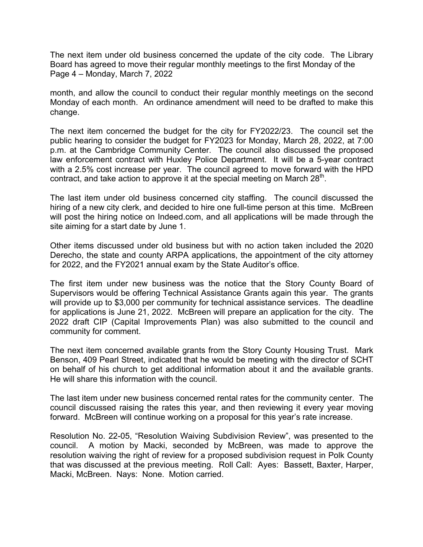The next item under old business concerned the update of the city code. The Library Board has agreed to move their regular monthly meetings to the first Monday of the Page 4 – Monday, March 7, 2022

month, and allow the council to conduct their regular monthly meetings on the second Monday of each month. An ordinance amendment will need to be drafted to make this change.

The next item concerned the budget for the city for FY2022/23. The council set the public hearing to consider the budget for FY2023 for Monday, March 28, 2022, at 7:00 p.m. at the Cambridge Community Center. The council also discussed the proposed law enforcement contract with Huxley Police Department. It will be a 5-year contract with a 2.5% cost increase per year. The council agreed to move forward with the HPD contract, and take action to approve it at the special meeting on March  $28<sup>th</sup>$ .

The last item under old business concerned city staffing. The council discussed the hiring of a new city clerk, and decided to hire one full-time person at this time. McBreen will post the hiring notice on Indeed.com, and all applications will be made through the site aiming for a start date by June 1.

Other items discussed under old business but with no action taken included the 2020 Derecho, the state and county ARPA applications, the appointment of the city attorney for 2022, and the FY2021 annual exam by the State Auditor's office.

The first item under new business was the notice that the Story County Board of Supervisors would be offering Technical Assistance Grants again this year. The grants will provide up to \$3,000 per community for technical assistance services. The deadline for applications is June 21, 2022. McBreen will prepare an application for the city. The 2022 draft CIP (Capital Improvements Plan) was also submitted to the council and community for comment.

The next item concerned available grants from the Story County Housing Trust. Mark Benson, 409 Pearl Street, indicated that he would be meeting with the director of SCHT on behalf of his church to get additional information about it and the available grants. He will share this information with the council.

The last item under new business concerned rental rates for the community center. The council discussed raising the rates this year, and then reviewing it every year moving forward. McBreen will continue working on a proposal for this year's rate increase.

Resolution No. 22-05, "Resolution Waiving Subdivision Review", was presented to the council. A motion by Macki, seconded by McBreen, was made to approve the resolution waiving the right of review for a proposed subdivision request in Polk County that was discussed at the previous meeting. Roll Call: Ayes: Bassett, Baxter, Harper, Macki, McBreen. Nays: None. Motion carried.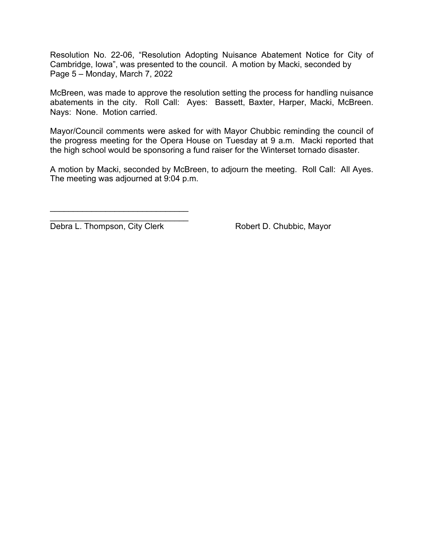Resolution No. 22-06, "Resolution Adopting Nuisance Abatement Notice for City of Cambridge, Iowa", was presented to the council. A motion by Macki, seconded by Page 5 – Monday, March 7, 2022

McBreen, was made to approve the resolution setting the process for handling nuisance abatements in the city. Roll Call: Ayes: Bassett, Baxter, Harper, Macki, McBreen. Nays: None. Motion carried.

Mayor/Council comments were asked for with Mayor Chubbic reminding the council of the progress meeting for the Opera House on Tuesday at 9 a.m. Macki reported that the high school would be sponsoring a fund raiser for the Winterset tornado disaster.

A motion by Macki, seconded by McBreen, to adjourn the meeting. Roll Call: All Ayes. The meeting was adjourned at 9:04 p.m.

\_\_\_\_\_\_\_\_\_\_\_\_\_\_\_\_\_\_\_\_\_\_\_\_\_\_\_\_\_\_ Debra L. Thompson, City Clerk Robert D. Chubbic, Mayor

 $\mathcal{L}=\{1,2,3,4,5\}$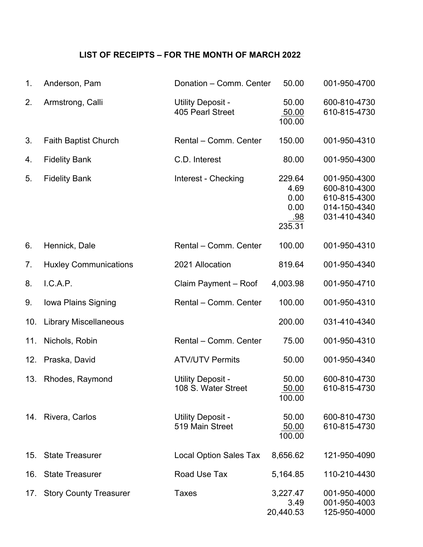## **LIST OF RECEIPTS – FOR THE MONTH OF MARCH 2022**

| 1.  | Anderson, Pam                | Donation - Comm. Center                  | 50.00                                           | 001-950-4700                                                                 |
|-----|------------------------------|------------------------------------------|-------------------------------------------------|------------------------------------------------------------------------------|
| 2.  | Armstrong, Calli             | Utility Deposit -<br>405 Pearl Street    | 50.00<br>50.00<br>100.00                        | 600-810-4730<br>610-815-4730                                                 |
| 3.  | <b>Faith Baptist Church</b>  | Rental - Comm. Center                    | 150.00                                          | 001-950-4310                                                                 |
| 4.  | <b>Fidelity Bank</b>         | C.D. Interest                            | 80.00                                           | 001-950-4300                                                                 |
| 5.  | <b>Fidelity Bank</b>         | Interest - Checking                      | 229.64<br>4.69<br>0.00<br>0.00<br>.98<br>235.31 | 001-950-4300<br>600-810-4300<br>610-815-4300<br>014-150-4340<br>031-410-4340 |
| 6.  | Hennick, Dale                | Rental - Comm. Center                    | 100.00                                          | 001-950-4310                                                                 |
| 7.  | <b>Huxley Communications</b> | 2021 Allocation                          | 819.64                                          | 001-950-4340                                                                 |
| 8.  | I.C.A.P.                     | Claim Payment - Roof                     | 4,003.98                                        | 001-950-4710                                                                 |
| 9.  | Iowa Plains Signing          | Rental - Comm. Center                    | 100.00                                          | 001-950-4310                                                                 |
| 10. | <b>Library Miscellaneous</b> |                                          | 200.00                                          | 031-410-4340                                                                 |
| 11. | Nichols, Robin               | Rental - Comm. Center                    | 75.00                                           | 001-950-4310                                                                 |
| 12. | Praska, David                | <b>ATV/UTV Permits</b>                   | 50.00                                           | 001-950-4340                                                                 |
| 13. | Rhodes, Raymond              | Utility Deposit -<br>108 S. Water Street | 50.00<br>50.00<br>100.00                        | 600-810-4730<br>610-815-4730                                                 |
|     | 14. Rivera, Carlos           | Utility Deposit -<br>519 Main Street     | 50.00<br>50.00<br>100.00                        | 600-810-4730<br>610-815-4730                                                 |
| 15. | <b>State Treasurer</b>       | <b>Local Option Sales Tax</b>            | 8,656.62                                        | 121-950-4090                                                                 |
| 16. | <b>State Treasurer</b>       | Road Use Tax                             | 5,164.85                                        | 110-210-4430                                                                 |
|     | 17. Story County Treasurer   | <b>Taxes</b>                             | 3,227.47<br>3.49<br>20,440.53                   | 001-950-4000<br>001-950-4003<br>125-950-4000                                 |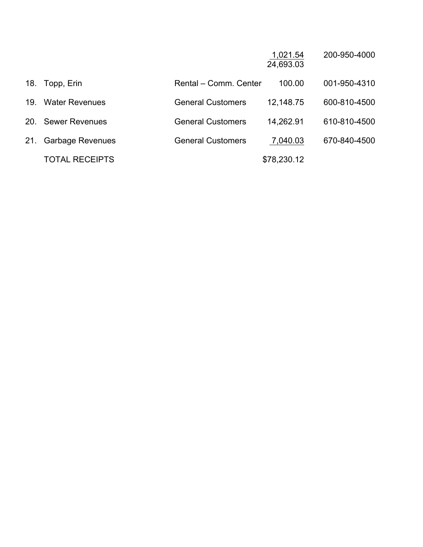|     |                         |                          | 1,021.54<br>24,693.03 | 200-950-4000 |
|-----|-------------------------|--------------------------|-----------------------|--------------|
| 18. | Topp, Erin              | Rental - Comm. Center    | 100.00                | 001-950-4310 |
| 19. | <b>Water Revenues</b>   | <b>General Customers</b> | 12,148.75             | 600-810-4500 |
| 20. | <b>Sewer Revenues</b>   | <b>General Customers</b> | 14,262.91             | 610-810-4500 |
| 21. | <b>Garbage Revenues</b> | <b>General Customers</b> | 7,040.03              | 670-840-4500 |
|     | <b>TOTAL RECEIPTS</b>   |                          | \$78,230.12           |              |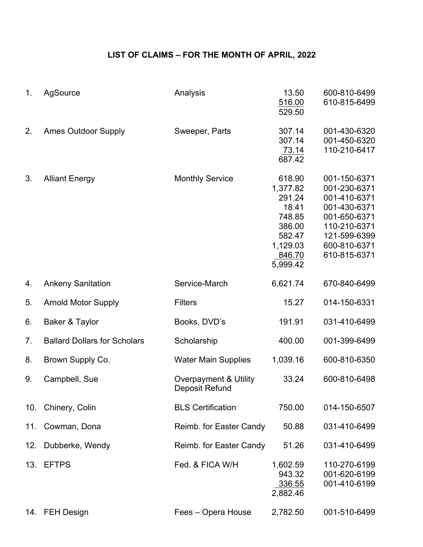# **LIST OF CLAIMS – FOR THE MONTH OF APRIL, 2022**

| 1.             | AgSource                            | Analysis                                | 13.50<br>516.00<br>529.50                                                                             | 600-810-6499<br>610-815-6499                                                                                                                 |
|----------------|-------------------------------------|-----------------------------------------|-------------------------------------------------------------------------------------------------------|----------------------------------------------------------------------------------------------------------------------------------------------|
| 2.             | <b>Ames Outdoor Supply</b>          | Sweeper, Parts                          | 307.14<br>307.14<br>73.14<br>687.42                                                                   | 001-430-6320<br>001-450-6320<br>110-210-6417                                                                                                 |
| 3.             | <b>Alliant Energy</b>               | <b>Monthly Service</b>                  | 618.90<br>1,377.82<br>291.24<br>18.41<br>748.85<br>386.00<br>582.47<br>1,129.03<br>846.70<br>5,999.42 | 001-150-6371<br>001-230-6371<br>001-410-6371<br>001-430-6371<br>001-650-6371<br>110-210-6371<br>121-599-6399<br>600-810-6371<br>610-815-6371 |
| 4.             | <b>Ankeny Sanitation</b>            | Service-March                           | 6,621.74                                                                                              | 670-840-6499                                                                                                                                 |
| 5.             | <b>Arnold Motor Supply</b>          | <b>Filters</b>                          | 15.27                                                                                                 | 014-150-6331                                                                                                                                 |
| 6.             | Baker & Taylor                      | Books, DVD's                            | 191.91                                                                                                | 031-410-6499                                                                                                                                 |
| 7 <sub>1</sub> | <b>Ballard Dollars for Scholars</b> | Scholarship                             | 400.00                                                                                                | 001-399-6499                                                                                                                                 |
| 8.             | Brown Supply Co.                    | <b>Water Main Supplies</b>              | 1,039.16                                                                                              | 600-810-6350                                                                                                                                 |
| 9.             | Campbell, Sue                       | Overpayment & Utility<br>Deposit Refund | 33.24                                                                                                 | 600-810-6498                                                                                                                                 |
| 10.            | Chinery, Colin                      | <b>BLS Certification</b>                | 750.00                                                                                                | 014-150-6507                                                                                                                                 |
| 11.            | Cowman, Dona                        | Reimb. for Easter Candy                 | 50.88                                                                                                 | 031-410-6499                                                                                                                                 |
| 12.            | Dubberke, Wendy                     | Reimb. for Easter Candy                 | 51.26                                                                                                 | 031-410-6499                                                                                                                                 |
| 13.            | <b>EFTPS</b>                        | Fed. & FICA W/H                         | 1,602.59<br>943.32<br>336.55<br>2,882.46                                                              | 110-270-6199<br>001-620-6199<br>001-410-6199                                                                                                 |
|                | 14. FEH Design                      | Fees - Opera House                      | 2,782.50                                                                                              | 001-510-6499                                                                                                                                 |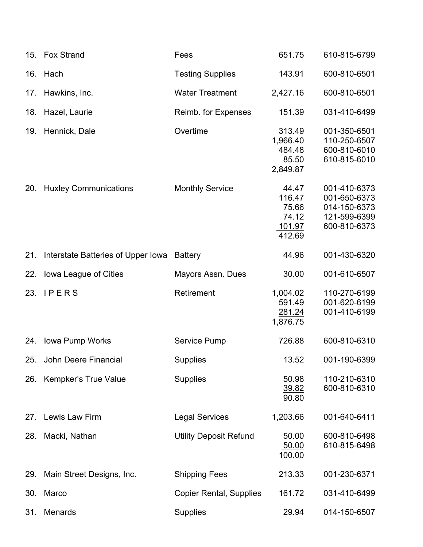|     | 15. Fox Strand                             | Fees                           | 651.75                                                | 610-815-6799                                                                 |
|-----|--------------------------------------------|--------------------------------|-------------------------------------------------------|------------------------------------------------------------------------------|
| 16. | Hach                                       | <b>Testing Supplies</b>        | 143.91                                                | 600-810-6501                                                                 |
| 17. | Hawkins, Inc.                              | <b>Water Treatment</b>         | 2,427.16                                              | 600-810-6501                                                                 |
| 18. | Hazel, Laurie                              | Reimb. for Expenses            | 151.39                                                | 031-410-6499                                                                 |
| 19. | Hennick, Dale                              | Overtime                       | 313.49<br>1,966.40<br>484.48<br>85.50<br>2,849.87     | 001-350-6501<br>110-250-6507<br>600-810-6010<br>610-815-6010                 |
| 20. | <b>Huxley Communications</b>               | <b>Monthly Service</b>         | 44.47<br>116.47<br>75.66<br>74.12<br>101.97<br>412.69 | 001-410-6373<br>001-650-6373<br>014-150-6373<br>121-599-6399<br>600-810-6373 |
| 21. | Interstate Batteries of Upper Iowa Battery |                                | 44.96                                                 | 001-430-6320                                                                 |
| 22. | Iowa League of Cities                      | Mayors Assn. Dues              | 30.00                                                 | 001-610-6507                                                                 |
| 23. | <b>IPERS</b>                               | Retirement                     | 1,004.02<br>591.49<br>281.24<br>1,876.75              | 110-270-6199<br>001-620-6199<br>001-410-6199                                 |
| 24. | Iowa Pump Works                            | Service Pump                   | 726.88                                                | 600-810-6310                                                                 |
|     | 25. John Deere Financial                   | Supplies                       | 13.52                                                 | 001-190-6399                                                                 |
| 26. | Kempker's True Value                       | <b>Supplies</b>                | 50.98<br>39.82<br>90.80                               | 110-210-6310<br>600-810-6310                                                 |
| 27. | Lewis Law Firm                             | <b>Legal Services</b>          | 1,203.66                                              | 001-640-6411                                                                 |
| 28. | Macki, Nathan                              | <b>Utility Deposit Refund</b>  | 50.00<br>50.00<br>100.00                              | 600-810-6498<br>610-815-6498                                                 |
| 29. | Main Street Designs, Inc.                  | <b>Shipping Fees</b>           | 213.33                                                | 001-230-6371                                                                 |
| 30. | Marco                                      | <b>Copier Rental, Supplies</b> | 161.72                                                | 031-410-6499                                                                 |
| 31. | Menards                                    | <b>Supplies</b>                | 29.94                                                 | 014-150-6507                                                                 |